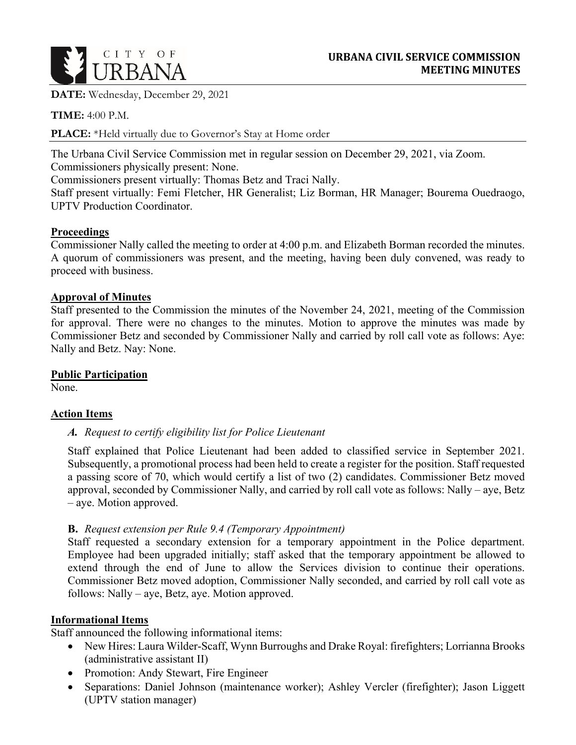

**DATE:** Wednesday, December 29, 2021

**TIME:** 4:00 P.M.

**PLACE:** \*Held virtually due to Governor's Stay at Home order

The Urbana Civil Service Commission met in regular session on December 29, 2021, via Zoom. Commissioners physically present: None.

Commissioners present virtually: Thomas Betz and Traci Nally.

Staff present virtually: Femi Fletcher, HR Generalist; Liz Borman, HR Manager; Bourema Ouedraogo, UPTV Production Coordinator.

## **Proceedings**

Commissioner Nally called the meeting to order at 4:00 p.m. and Elizabeth Borman recorded the minutes. A quorum of commissioners was present, and the meeting, having been duly convened, was ready to proceed with business.

### **Approval of Minutes**

Staff presented to the Commission the minutes of the November 24, 2021, meeting of the Commission for approval. There were no changes to the minutes. Motion to approve the minutes was made by Commissioner Betz and seconded by Commissioner Nally and carried by roll call vote as follows: Aye: Nally and Betz. Nay: None.

## **Public Participation**

None.

#### **Action Items**

#### *A. Request to certify eligibility list for Police Lieutenant*

Staff explained that Police Lieutenant had been added to classified service in September 2021. Subsequently, a promotional process had been held to create a register for the position. Staff requested a passing score of 70, which would certify a list of two (2) candidates. Commissioner Betz moved approval, seconded by Commissioner Nally, and carried by roll call vote as follows: Nally – aye, Betz – aye. Motion approved.

# **B.** *Request extension per Rule 9.4 (Temporary Appointment)*

Staff requested a secondary extension for a temporary appointment in the Police department. Employee had been upgraded initially; staff asked that the temporary appointment be allowed to extend through the end of June to allow the Services division to continue their operations. Commissioner Betz moved adoption, Commissioner Nally seconded, and carried by roll call vote as follows: Nally – aye, Betz, aye. Motion approved.

#### **Informational Items**

Staff announced the following informational items:

- New Hires: Laura Wilder-Scaff, Wynn Burroughs and Drake Royal: firefighters; Lorrianna Brooks (administrative assistant II)
- Promotion: Andy Stewart, Fire Engineer
- Separations: Daniel Johnson (maintenance worker); Ashley Vercler (firefighter); Jason Liggett (UPTV station manager)